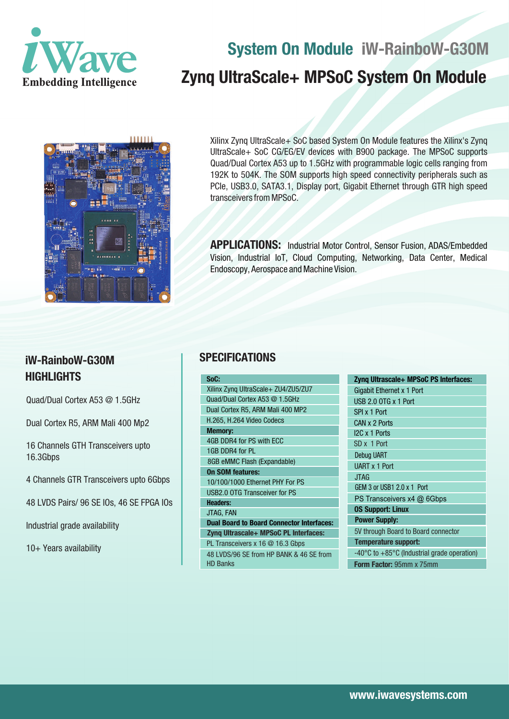

# **System On Module iW-RainboW-G30M Zynq UltraScale+ MPSoC System On Module**



Xilinx Zynq UltraScale+ SoC based System On Module features the Xilinx's Zynq UltraScale+ SoC CG/EG/EV devices with B900 package. The MPSoC supports Quad/Dual Cortex A53 up to 1.5GHz with programmable logic cells ranging from 192K to 504K. The SOM supports high speed connectivity peripherals such as PCIe, USB3.0, SATA3.1, Display port, Gigabit Ethernet through GTR high speed transceivers from MPSoC.

**APPLICATIONS:** Industrial Motor Control, Sensor Fusion, ADAS/Embedded Vision, Industrial IoT, Cloud Computing, Networking, Data Center, Medical Endoscopy, Aerospace and Machine Vision.

# **iW-RainboW-G30M HIGHLIGHTS**

Quad/Dual Cortex A53 @ 1.5GHz

Dual Cortex R5, ARM Mali 400 Mp2

16 Channels GTH Transceivers upto 16.3Gbps

4 Channels GTR Transceivers upto 6Gbps

48 LVDS Pairs/ 96 SE IOs, 46 SE FPGA IOs

Industrial grade availability

10+ Years availability

# **SPECIFICATIONS**

| SoC:                                             | Z |
|--------------------------------------------------|---|
| Xilinx Zyng UltraScale+ ZU4/ZU5/ZU7              | G |
| Quad/Dual Cortex A53 @ 1.5GHz                    | Ù |
| Dual Cortex R5, ARM Mali 400 MP2                 | S |
| H.265, H.264 Video Codecs                        | C |
| <b>Memory:</b>                                   | ľ |
| 4GB DDR4 for PS with ECC                         | S |
| 1GB DDR4 for PL                                  | D |
| 8GB eMMC Flash (Expandable)                      | U |
| <b>On SOM features:</b>                          |   |
| 10/100/1000 Ethernet PHY For PS                  | G |
| <b>USB2.0 OTG Transceiver for PS</b>             |   |
| <b>Headers:</b>                                  | F |
| JTAG, FAN                                        | 0 |
| <b>Dual Board to Board Connector Interfaces:</b> | F |
| Zynq Ultrascale+ MPSoC PL Interfaces:            | 5 |
| PL Transceivers x 16 @ 16.3 Gbps                 | ī |
| 48 LVDS/96 SE from HP BANK & 46 SE from          |   |
| <b>HD Banks</b>                                  | F |

| Zyng Ultrascale+ MPSoC PS Interfaces:                           |
|-----------------------------------------------------------------|
| Gigabit Ethernet x 1 Port                                       |
| USB 2.0 OTG x 1 Port                                            |
| SPI x 1 Port                                                    |
| CAN x 2 Ports                                                   |
| I2C x 1 Ports                                                   |
| SD x 1 Port                                                     |
| <b>Debug UART</b>                                               |
| <b>UART x 1 Port</b>                                            |
| <b>JTAG</b>                                                     |
| GEM 3 or USB1 2.0 x 1 Port                                      |
| PS Transceivers x4 @ 6Gbps                                      |
| <b>0S Support: Linux</b>                                        |
| <b>Power Supply:</b>                                            |
| 5V through Board to Board connector                             |
| <b>Temperature support:</b>                                     |
| -40 $\degree$ C to +85 $\degree$ C (Industrial grade operation) |
| <b>Form Factor: 95mm x 75mm</b>                                 |